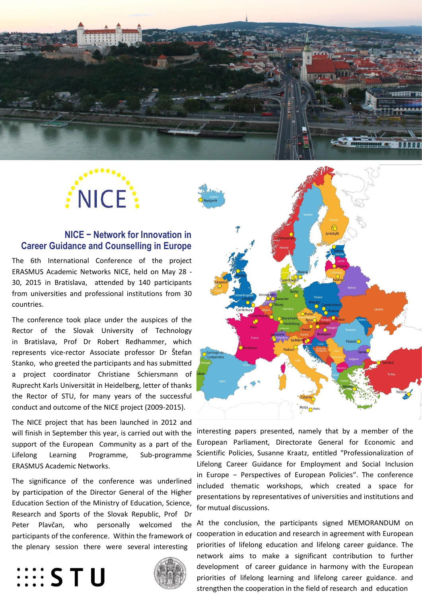



## **NICE − Network for Innovation in Career Guidance and Counselling in Europe**

The 6th International Conference of the project ERASMUS Academic Networks NICE, held on May 28 - 30, 2015 in Bratislava, attended by 140 participants from universities and professional institutions from 30 countries.

The conference took place under the auspices of the Rector of the Slovak University of Technology in Bratislava, Prof Dr Robert Redhammer, which represents vice-rector Associate professor Dr Štefan Stanko, who greeted the participants and has submitted a project coordinator Christiane Schiersmann of Ruprecht Karls Universität in Heidelberg, letter of thanks the Rector of STU, for many years of the successful conduct and outcome of the NICE project (2009-2015).

 The NICE project that has been launched in 2012 and will finish in September this year, is carried out with the support of the European Community as a part of the Lifelong Learning Programme, Sub-programme ERASMUS Academic Networks.

The significance of the conference was underlined by participation of the Director General of the Higher Education Section of the Ministry of Education, Science, Research and Sports of the Slovak Republic, Prof Dr Peter Plavčan, who personally welcomed the participants of the conference. Within the framework of the plenary session there were several interesting

## **EESTU**





interesting papers presented, namely that by a member of the European Parliament, Directorate General for Economic and Scientific Policies, Susanne Kraatz, entitled "Professionalization of Lifelong Career Guidance for Employment and Social Inclusion in Europe − Perspectives of European Policies". The conference included thematic workshops, which created a space for presentations by representatives of universities and institutions and for mutual discussions.

At the conclusion, the participants signed MEMORANDUM on cooperation in education and research in agreement with European priorities of lifelong education and lifelong career guidance. The network aims to make a significant contribution to further development of career guidance in harmony with the European priorities of lifelong learning and lifelong career guidance. and strengthen the cooperation in the field of research and education